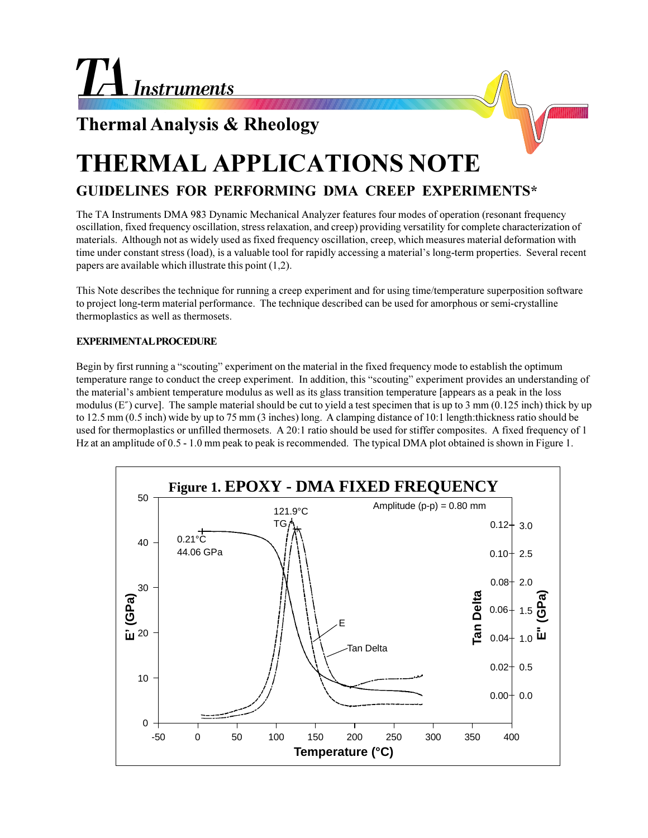## **Thermal Analysis & Rheology**

# **THERMAL APPLICATIONS NOTE**

## **GUIDELINES FOR PERFORMING DMA CREEP EXPERIMENTS\***

The TA Instruments DMA 983 Dynamic Mechanical Analyzer features four modes of operation (resonant frequency oscillation, fixed frequency oscillation, stress relaxation, and creep) providing versatility for complete characterization of materials. Although not as widely used as fixed frequency oscillation, creep, which measures material deformation with time under constant stress (load), is a valuable tool for rapidly accessing a material's long-term properties. Several recent papers are available which illustrate this point (1,2).

This Note describes the technique for running a creep experiment and for using time/temperature superposition software to project long-term material performance. The technique described can be used for amorphous or semi-crystalline thermoplastics as well as thermosets.

### **EXPERIMENTAL PROCEDURE**

Begin by first running a "scouting" experiment on the material in the fixed frequency mode to establish the optimum temperature range to conduct the creep experiment. In addition, this "scouting" experiment provides an understanding of the material's ambient temperature modulus as well as its glass transition temperature [appears as a peak in the loss modulus (E") curve]. The sample material should be cut to yield a test specimen that is up to 3 mm (0.125 inch) thick by up to 12.5 mm (0.5 inch) wide by up to 75 mm (3 inches) long. A clamping distance of 10:1 length:thickness ratio should be used for thermoplastics or unfilled thermosets. A 20:1 ratio should be used for stiffer composites. A fixed frequency of 1 Hz at an amplitude of 0.5 - 1.0 mm peak to peak is recommended. The typical DMA plot obtained is shown in Figure 1.

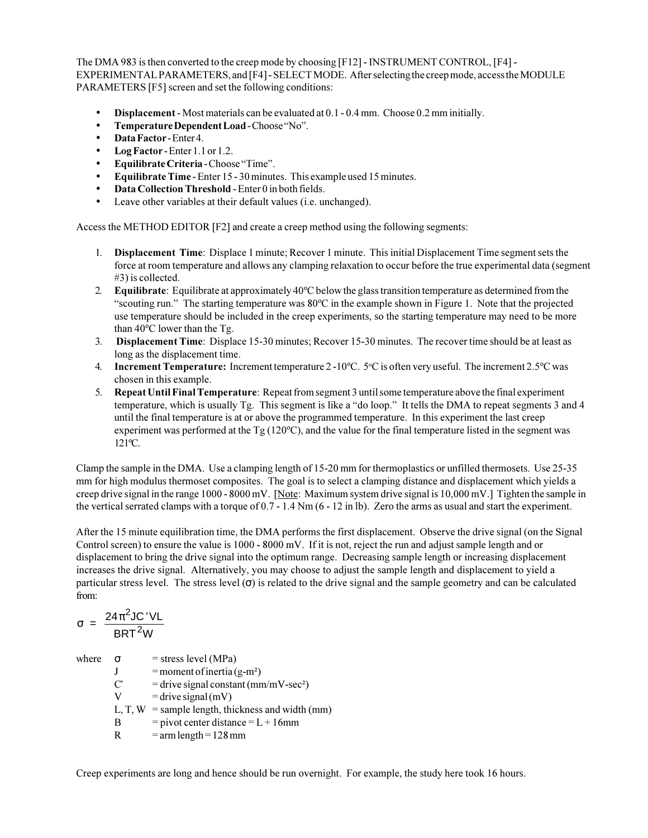The DMA 983 is then converted to the creep mode by choosing [F12] - INSTRUMENT CONTROL, [F4] - EXPERIMENTAL PARAMETERS, and [F4] - SELECT MODE. After selecting the creep mode, access the MODULE PARAMETERS [F5] screen and set the following conditions:

- **Displacement** Most materials can be evaluated at 0.1 0.4 mm. Choose 0.2 mm initially.
- **Temperature Dependent Load** Choose "No".
- **Data Factor** Enter 4.
- **Log Factor** Enter 1.1 or 1.2.
- **Equilibrate Criteria** Choose "Time".
- **Equilibrate Time** Enter 15 30 minutes. This example used 15 minutes.
- **Data Collection Threshold** Enter 0 in both fields.
- Leave other variables at their default values (i.e. unchanged).

Access the METHOD EDITOR [F2] and create a creep method using the following segments:

- 1. **Displacement Time**: Displace 1 minute; Recover 1 minute. This initial Displacement Time segment sets the force at room temperature and allows any clamping relaxation to occur before the true experimental data (segment #3) is collected.
- 2. **Equilibrate**: Equilibrate at approximately 40ºC below the glass transition temperature as determined from the "scouting run." The starting temperature was  $80^{\circ}$ C in the example shown in Figure 1. Note that the projected use temperature should be included in the creep experiments, so the starting temperature may need to be more than 40ºC lower than the Tg.
- 3. **Displacement Time**: Displace 15-30 minutes; Recover 15-30 minutes. The recover time should be at least as long as the displacement time.
- 4. **Increment Temperature:** Increment temperature 2-10°C. 5°C is often very useful. The increment 2.5°C was chosen in this example.
- 5. **Repeat Until Final Temperature**: Repeat from segment 3 until some temperature above the final experiment temperature, which is usually Tg. This segment is like a "do loop." It tells the DMA to repeat segments 3 and 4 until the final temperature is at or above the programmed temperature. In this experiment the last creep experiment was performed at the Tg (120ºC), and the value for the final temperature listed in the segment was 121ºC.

Clamp the sample in the DMA. Use a clamping length of 15-20 mm for thermoplastics or unfilled thermosets. Use 25-35 mm for high modulus thermoset composites. The goal is to select a clamping distance and displacement which yields a creep drive signal in the range 1000 - 8000 mV. [Note: Maximum system drive signal is 10,000 mV.] Tighten the sample in the vertical serrated clamps with a torque of 0.7 - 1.4 Nm (6 - 12 in lb). Zero the arms as usual and start the experiment.

After the 15 minute equilibration time, the DMA performs the first displacement. Observe the drive signal (on the Signal Control screen) to ensure the value is 1000 - 8000 mV. If it is not, reject the run and adjust sample length and or displacement to bring the drive signal into the optimum range. Decreasing sample length or increasing displacement increases the drive signal. Alternatively, you may choose to adjust the sample length and displacement to yield a particular stress level. The stress level  $(σ)$  is related to the drive signal and the sample geometry and can be calculated from:

$$
\sigma = \frac{24\pi^2JC'VL}{BRT^2W}
$$

where  $\sigma$  = stress level (MPa)  $J =$ moment of inertia (g-m<sup>2</sup>)  $C'$  = drive signal constant (mm/mV-sec<sup>2</sup>)  $V =$ drive signal (mV) L, T,  $W =$  sample length, thickness and width (mm) B = pivot center distance =  $L + 16$ mm R =  $arm length = 128 mm$ 

Creep experiments are long and hence should be run overnight. For example, the study here took 16 hours.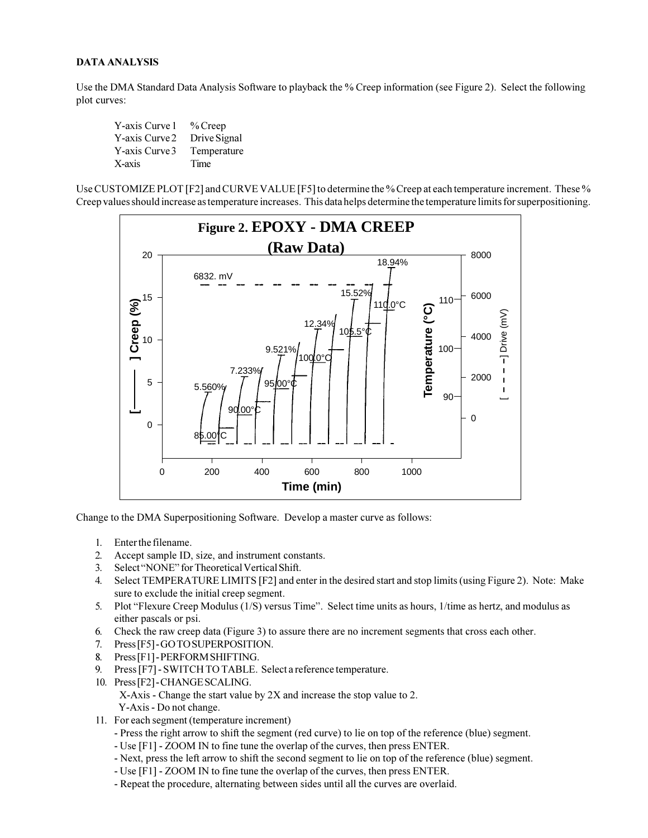#### **DATA ANALYSIS**

Use the DMA Standard Data Analysis Software to playback the % Creep information (see Figure 2). Select the following plot curves:

| Y-axis Curve 1 | $%$ Creep    |
|----------------|--------------|
| Y-axis Curve 2 | Drive Signal |
| Y-axis Curve 3 | Temperature  |
| X-axis         | Time         |

Use CUSTOMIZE PLOT [F2] and CURVE VALUE [F5] to determine the % Creep at each temperature increment. These % Creep values should increase as temperature increases. This data helps determine the temperature limits for superpositioning.



Change to the DMA Superpositioning Software. Develop a master curve as follows:

- 1. Enter the filename.
- 2. Accept sample ID, size, and instrument constants.
- 3. Select "NONE" for Theoretical Vertical Shift.
- 4. Select TEMPERATURE LIMITS [F2] and enter in the desired start and stop limits (using Figure 2). Note: Make sure to exclude the initial creep segment.
- 5. Plot "Flexure Creep Modulus (1/S) versus Time". Select time units as hours, 1/time as hertz, and modulus as either pascals or psi.
- 6. Check the raw creep data (Figure 3) to assure there are no increment segments that cross each other.
- 7. Press [F5] GO TO SUPERPOSITION.
- 8. Press [F1] PERFORM SHIFTING.
- 9. Press [F7] SWITCH TO TABLE. Select a reference temperature.
- 10. Press [F2] CHANGE SCALING. X-Axis - Change the start value by 2X and increase the stop value to 2. Y-Axis - Do not change.
- 11. For each segment (temperature increment)
	- Press the right arrow to shift the segment (red curve) to lie on top of the reference (blue) segment.
	- Use [F1] ZOOM IN to fine tune the overlap of the curves, then press ENTER.
	- Next, press the left arrow to shift the second segment to lie on top of the reference (blue) segment.
	- Use [F1] ZOOM IN to fine tune the overlap of the curves, then press ENTER.
	- Repeat the procedure, alternating between sides until all the curves are overlaid.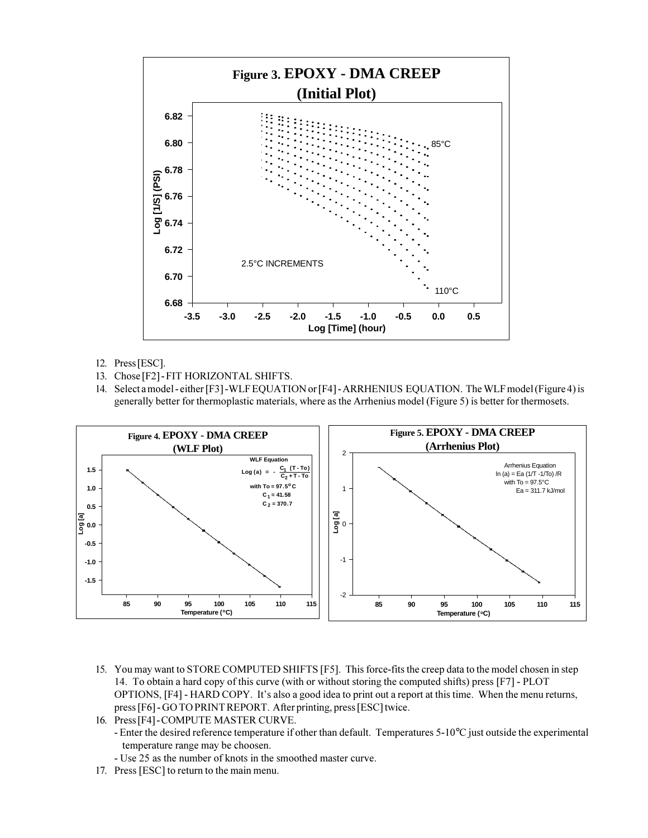

- 12. Press [ESC].
- 13. Chose [F2] FIT HORIZONTAL SHIFTS.
- 14. Select a model either [F3] -WLF EQUATION or [F4] ARRHENIUS EQUATION. The WLF model (Figure 4) is generally better for thermoplastic materials, where as the Arrhenius model (Figure 5) is better for thermosets.



- 15. You may want to STORE COMPUTED SHIFTS [F5]. This force-fits the creep data to the model chosen in step 14. To obtain a hard copy of this curve (with or without storing the computed shifts) press [F7] - PLOT OPTIONS, [F4] - HARD COPY. It's also a good idea to print out a report at this time. When the menu returns, press [F6] - GO TO PRINT REPORT. After printing, press [ESC] twice.
- 16. Press [F4] COMPUTE MASTER CURVE.
	- Enter the desired reference temperature if other than default. Temperatures 5-10°C just outside the experimental temperature range may be choosen.
	- Use 25 as the number of knots in the smoothed master curve.
- 17. Press [ESC] to return to the main menu.